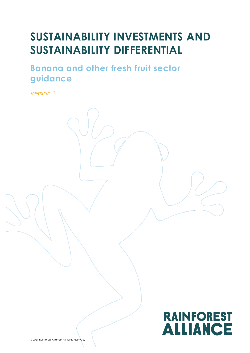# **SUSTAINABILITY INVESTMENTS AND SUSTAINABILITY DIFFERENTIAL**

**Banana and other fresh fruit sector guidance** 

*Version 1*



© 2021 Rainforest Alliance. All rights reserved.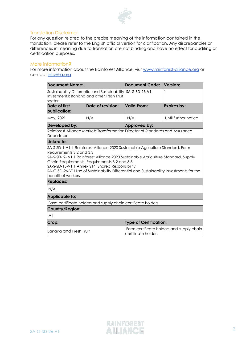

#### Translation Disclaimer

For any question related to the precise meaning of the information contained in the translation, please refer to the English official version for clarification. Any discrepancies or differences in meaning due to translation are not binding and have no effect for auditing or certification purposes.

#### More information?

For more information about the Rainforest Alliance, visit [www.rainforest-alliance.org](http://www.rainforest-alliance.org/) or contact [info@ra.org](mailto:info@ra.org)

| <b>Document Name:</b>                                                                                                                                                                                                                                                                                                          |                                                               | Document Code:                                                                 | <b>Version:</b>      |  |  |  |
|--------------------------------------------------------------------------------------------------------------------------------------------------------------------------------------------------------------------------------------------------------------------------------------------------------------------------------|---------------------------------------------------------------|--------------------------------------------------------------------------------|----------------------|--|--|--|
| Sustainability Differential and Sustainability<br>Investments: Banana and other Fresh Fruit<br>sector                                                                                                                                                                                                                          |                                                               | $S_A-G-SD-26-V1$                                                               |                      |  |  |  |
| Date of first<br>publication:                                                                                                                                                                                                                                                                                                  | Date of revision:                                             | <b>Valid From:</b>                                                             | Expires by:          |  |  |  |
| May, 2021                                                                                                                                                                                                                                                                                                                      | N/A                                                           | N/A                                                                            | Until further notice |  |  |  |
| Developed by:                                                                                                                                                                                                                                                                                                                  |                                                               | Approved by:                                                                   |                      |  |  |  |
| Department                                                                                                                                                                                                                                                                                                                     |                                                               | Rainforest Alliance Markets Transformation Director of Standards and Assurance |                      |  |  |  |
| Linked to:                                                                                                                                                                                                                                                                                                                     |                                                               |                                                                                |                      |  |  |  |
| \$A-S-SD- 2- V1.1 Rainforest Alliance 2020 Sustainable Agriculture Standard, Supply<br>Chain Requirements, Requirements 3.2 and 3.3<br>SA-S-SD-15-V1.1 Annex S14: Shared Responsibility<br>\$A-G-SD-26-V1I Use of Sustainability Differential and Sustainability Investments for the<br>benefit of workers<br><b>Replaces:</b> |                                                               |                                                                                |                      |  |  |  |
|                                                                                                                                                                                                                                                                                                                                |                                                               |                                                                                |                      |  |  |  |
| N/A                                                                                                                                                                                                                                                                                                                            |                                                               |                                                                                |                      |  |  |  |
| <b>Applicable to:</b>                                                                                                                                                                                                                                                                                                          |                                                               |                                                                                |                      |  |  |  |
|                                                                                                                                                                                                                                                                                                                                | Farm certificate holders and supply chain certificate holders |                                                                                |                      |  |  |  |
| Country/Region:                                                                                                                                                                                                                                                                                                                |                                                               |                                                                                |                      |  |  |  |
| All                                                                                                                                                                                                                                                                                                                            |                                                               |                                                                                |                      |  |  |  |
| Crop:                                                                                                                                                                                                                                                                                                                          |                                                               | <b>Type of Certification:</b>                                                  |                      |  |  |  |
| <b>Banana and Fresh Fruit</b>                                                                                                                                                                                                                                                                                                  |                                                               | Farm certificate holders and supply chain<br>certificate holders               |                      |  |  |  |

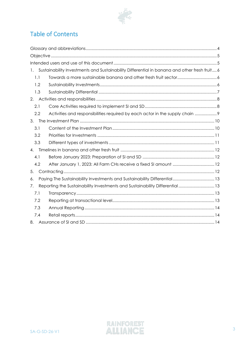

# Table of Contents

| 1.  | Sustainability Investments and Sustainability Differential in banana and other fresh fruit 6 |  |
|-----|----------------------------------------------------------------------------------------------|--|
| 1.1 |                                                                                              |  |
| 1.2 |                                                                                              |  |
| 1.3 |                                                                                              |  |
| 2.  |                                                                                              |  |
| 2.1 |                                                                                              |  |
| 2.2 | Activities and responsibilities required by each actor in the supply chain  9                |  |
| 3.  |                                                                                              |  |
| 3.1 |                                                                                              |  |
| 3.2 |                                                                                              |  |
| 3.3 |                                                                                              |  |
| 4.  |                                                                                              |  |
| 4.1 |                                                                                              |  |
| 4.2 |                                                                                              |  |
| 5.  |                                                                                              |  |
| 6.  | Paying The Sustainability Investments and Sustainability Differential 13                     |  |
| 7.  | Reporting the Sustainability Investments and Sustainability Differential  13                 |  |
| 7.1 |                                                                                              |  |
| 7.2 |                                                                                              |  |
| 7.3 |                                                                                              |  |
| 7.4 |                                                                                              |  |
| 8.  |                                                                                              |  |

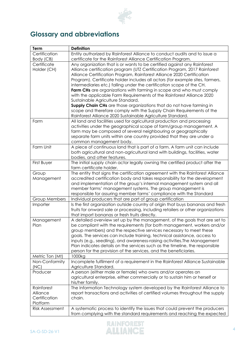

# <span id="page-3-0"></span>**Glossary and abbreviations**

| Term                   | <b>Definition</b>                                                                |
|------------------------|----------------------------------------------------------------------------------|
| Certification          | Entity authorized by Rainforest Alliance to conduct audits and to issue a        |
| Body (CB)              | certificate for the Rainforest Alliance Certification Program.                   |
| Certificate            | Any organization that is or wants to be certified against any Rainforest         |
| Holder (CH)            | Alliance certification program (UTZ Certification Program, 2017 Rainforest       |
|                        | Alliance Certification Program, Rainforest Alliance 2020 Certification           |
|                        | Program). Certificate holder includes all actors (for example sites, farmers,    |
|                        | intermediaries etc.) falling under the certification scope of the CH.            |
|                        | Farm CHs are organizations with farming in scope and who must comply             |
|                        | with the applicable Farm Requirements of the Rainforest Alliance 2020            |
|                        | Sustainable Agriculture Standard,                                                |
|                        | Supply Chain CHs are those organizations that do not have farming in             |
|                        | scope and therefore comply with the Supply Chain Requirements of the             |
|                        | Rainforest Alliance 2020 Sustainable Agriculture Standard.                       |
| Farm                   | All land and facilities used for agricultural production and processing          |
|                        | activities under the geographical scope of farm/group management. A              |
|                        | farm may be composed of several neighbouring or geographically                   |
|                        | separate farm units within one country provided that they are under a            |
|                        | common management body.                                                          |
| Farm Unit              | A piece of continuous land that is part of a farm. A farm unit can include       |
|                        | both agricultural and non-agricultural land with buildings, facilities, water    |
|                        | bodies, and other features.                                                      |
| First Buyer            | The initial supply chain actor legally owning the certified product after the    |
|                        | farm certificate holder.                                                         |
| Group                  | The entity that signs the certification agreement with the Rainforest Alliance   |
| Management             | accredited certification body and takes responsibility for the development       |
|                        | and implementation of the group's internal management system and all             |
|                        | member farms' management systems. The group management is                        |
|                        | responsible for assuring member farms' compliance with the Standard              |
| Group Members          | Individual producers that are part of group certification                        |
| Importer               | Is the first organization outside country of origin that buys bananas and fresh  |
|                        | fruits for onward sale or processing, including retailers or other organizations |
|                        | that import bananas or fresh fruits directly.                                    |
| Management             | A detailed overview set up by the management, of the goals that are set to       |
| Plan                   | be compliant with the requirements (for both management, workers and/or          |
|                        | group members) and the respective services necessary to meet these               |
|                        | goals. The services can include training, technical assistance, access to        |
|                        | inputs (e.g., seedling), and awareness-raising activities. The Management        |
|                        | Plan indicates details on the services such as the timeline, the responsible     |
|                        | person for the provision of the services, and the beneficiaries.                 |
| Metric Ton (Mt)        | 1000kg                                                                           |
| Non-Conformity         | Incomplete fulfilment of a requirement in the Rainforest Alliance Sustainable    |
| (NC)                   | Agriculture Standard.                                                            |
| Producer               | A person (either male or female) who owns and/or operates an                     |
|                        | agricultural enterprise, either commercially or to sustain him or herself or     |
|                        | his/her family.                                                                  |
| Rainforest             | The Information Technology system developed by the Rainforest Alliance to        |
| Alliance               | report transactions and activities of certified volumes throughout the supply    |
| Certification          | chain.                                                                           |
| Platform               |                                                                                  |
| <b>Risk Assessment</b> | A systematic process to identify the issues that could prevent the producers     |
|                        | from complying with the standard requirements and reaching the expected          |

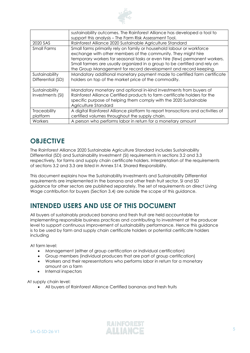

|                     | sustainability outcomes. The Rainforest Alliance has developed a tool to        |
|---------------------|---------------------------------------------------------------------------------|
|                     | support this analysis - The Farm Risk Assessment Tool.                          |
| 2020 SAS            | Rainforest Alliance 2020 Sustainable Agriculture Standard                       |
| <b>Small Farms</b>  | Small farms primarily rely on family or household labour or workforce           |
|                     | exchange with other members of the community. They might hire                   |
|                     | temporary workers for seasonal tasks or even hire (few) permanent workers.      |
|                     | Small farmers are usually organized in a group to be certified and rely on      |
|                     | the Group Management for record development and record keeping.                 |
| Sustainability      | Mandatory additional monetary payment made to certified farm certificate        |
| Differential (SD)   | holders on top of the market price of the commodity.                            |
|                     |                                                                                 |
| Sustainability      | Mandatory monetary and optional in-kind investments from buyers of              |
| Investments (SI)    | Rainforest Alliance Certified products to farm certificate holders for the      |
|                     | specific purpose of helping them comply with the 2020 Sustainable               |
|                     | Agriculture Standard                                                            |
| <b>Traceability</b> | A digital Rainforest Alliance platform to report transactions and activities of |
| platform            | certified volumes throughout the supply chain.                                  |
| Workers             | A person who performs labor in return for a monetary amount                     |

# <span id="page-4-0"></span>**OBJECTIVE**

The Rainforest Alliance 2020 Sustainable Agriculture Standard includes Sustainability Differential (SD) and Sustainability Investment (SI) requirements in sections 3.2 and 3.3 respectively, for farms and supply chain certificate holders. Interpretation of the requirements of sections 3.2 and 3.3 are listed in Annex S14, Shared Responsibility.

This document explains how the Sustainability Investments and Sustainability Differential requirements are implemented in the banana and other fresh fruit sector. SI and SD guidance for other sectors are published separately. The set of requirements on direct Living Wage contribution for buyers (Section 3.4) are outside the scope of this guidance.

# <span id="page-4-1"></span>**INTENDED USERS AND USE OF THIS DOCUMENT**

All buyers of sustainably produced banana and fresh fruit are held accountable for implementing responsible business practices and contributing to investment at the producer level to support continuous improvement of sustainability performance. Hence this guidance is to be used by farm and supply chain certificate holders or potential certificate holders including

At farm level:

- Management (either of group certification or individual certification)
- Group members (individual producers that are part of group certification)
- Workers and their representations who performs labor in return for a monetary amount on a farm
- Internal inspectors

At supply chain level:

• All buyers of Rainforest Alliance Certified bananas and fresh fruits

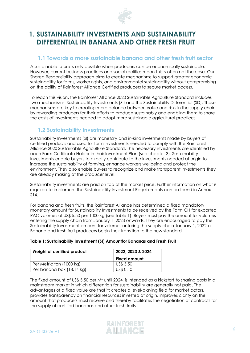

# <span id="page-5-0"></span>**1. SUSTAINABILITY INVESTMENTS AND SUSTAINABILITY DIFFERENTIAL IN BANANA AND OTHER FRESH FRUIT**

### <span id="page-5-1"></span>**1.1 Towards a more sustainable banana and other fresh fruit sector**

A sustainable future is only possible when producers can be economically sustainable. However, current business practices and social realities mean this is often not the case. Our Shared Responsibility approach aims to create mechanisms to support greater economic sustainability for farms, worker rights, and environmental sustainability without compromising on the ability of Rainforest Alliance Certified producers to secure market access.

To reach this vision, the Rainforest Alliance 2020 Sustainable Agriculture Standard includes two mechanisms: Sustainability Investments (SI) and the Sustainability Differential (SD). These mechanisms are key to creating more balance between value and risks in the supply chain by rewarding producers for their efforts to produce sustainably and enabling them to share the costs of investments needed to adopt more sustainable agricultural practices.

## <span id="page-5-2"></span>**1.2 Sustainability Investments**

Sustainability Investments (SI) are monetary and in-kind investments made by buyers of certified products and used for farm investments needed to comply with the Rainforest Alliance 2020 Sustainable Agriculture Standard. The necessary investments are identified by each Farm Certificate Holder in their Investment Plan (see chapter 3). Sustainability Investments enable buyers to directly contribute to the investments needed at origin to increase the sustainability of farming, enhance workers wellbeing and protect the environment. They also enable buyers to recognize and make transparent investments they are already making at the producer level.

Sustainability investments are paid on top of the market price. Further information on what is required to implement the Sustainability Investment Requirements can be found in Annex S14.

For banana and fresh fruits, the Rainforest Alliance has determined a fixed mandatory monetary amount for Sustainability Investments to be received by the Farm CH for exported RAC volumes of US\$ 5.50 per 1000 kg (see table 1). Buyers must pay the amount for volumes entering the supply chain from January 1, 2023 onwards. They are encouraged to pay the Sustainability Investment amount for volumes entering the supply chain January 1, 2022 as Banana and fresh fruit producers begin their transition to the new standard

| Weight of certified product | 2022, 2023 & 2024   |  |  |  |
|-----------------------------|---------------------|--|--|--|
|                             | <b>Fixed amount</b> |  |  |  |
| Per Metric ton (1000 kg)    | US\$ 5.50           |  |  |  |
| Per banana box (18,14 kg)   | US\$ 0.10           |  |  |  |

#### **Table 1: Sustainability Investment (SI) Amountfor Bananas and Fresh Fruit**

The fixed amount of US\$ 5.50 per Mt until 2024, is intended as a kickstart to sharing costs in a mainstream market in which differentials for sustainability are generally not paid. The advantages of a fixed value are that it: creates a level-playing field for market actors, provides transparency on financial resources invested at origin, improves clarity on the amount that producers must receive and thereby facilitates the negotiation of contracts for the supply of certified bananas and other fresh fruits.

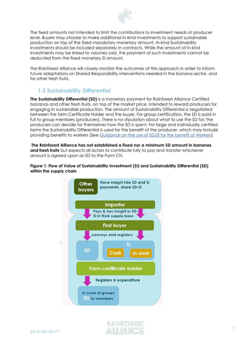

The fixed amounts not intended to limit the contributions to investment needs at producer level. Buyers may choose to make additional In-kind Investments to support sustainable production on top of the fixed mandatory monetary amount. In-kind Sustainability Investments should be included separately in contracts. While the amount of in-kind investments may be linked to volumes sold, the payment of such investments cannot be deducted from the fixed monetary SI amount.

The Rainforest Alliance will closely monitor the outcomes of this approach in order to inform future adaptations on Shared Responsibility interventions needed in the banana sector, and for other fresh fruits.

# <span id="page-6-0"></span>**1.3 Sustainability Differential**

**The Sustainability Differential (SD)** is a monetary payment for Rainforest Alliance Certified bananas and other fresh fruits, on top of the market price, intended to reward producers for engaging in sustainable production. The amount of Sustainability Differential is negotiated between the farm Certificate Holder and the buyer. For group certification, the SD is paid in full to group members (producers). There is no stipulation about what to use the SD for; the producers can decide for themselves how the SD is spent. For large and Individually certified farms the Sustainability Differential is used for the benefit of the producer, which may include providing benefits to workers (See Guidance on the use of [SD/SI for the benefit of Workers\)](https://www.rainforest-alliance.org/business/resource-item/guidance-use-of-sustainability-differential-and-sustainability-investments-for-the-benefit-of-workers/)

**The Rainforest Alliance has not established a fixed nor a minimum SD amount in bananas and fresh fruits** but expects all actors to contribute fully to pay and transfer whichever amount is agreed upon as SD to the Farm CH.

#### **Figure 1: Flow of Value of Sustainability Investment (SI) and Sustainability Differential (SD) within the supply chain**



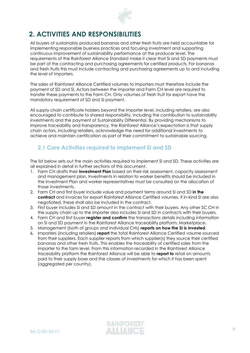

# <span id="page-7-0"></span>**2. ACTIVITIES AND RESPONSIBILITIES**

All buyers of sustainably produced bananas and other fresh fruits are held accountable for implementing responsible business practices and focusing investment and supporting continuous improvement of sustainability performance at the producer level. The requirements of the Rainforest Alliance Standard make it clear that SI and SD payments must be part of the contracting and purchasing agreements for certified products. For bananas and fresh fruits this must include contracting and purchasing agreements up to and including the level of importers.

The sales of Rainforest Alliance Certified volumes to importers must therefore include the payment of SD and SI. Actors between the importer and Farm CH level are required to transfer these payments to the Farm CH. Only volumes of fresh fruit for export have the mandatory requirement of SD and SI payment.

All supply chain certificate holders beyond the importer level, including retailers, are also encouraged to contribute to shared responsibility, including the contribution to sustainability investments and the payment of Sustainability Differential. By providing mechanisms to improve traceability and transparency, the Rainforest Alliance's expectation is that supply chain actors, including retailers, acknowledge the need for additional investments to achieve and maintain certification as part of their commitment to sustainable sourcing.

### <span id="page-7-1"></span>**2.1 Core Activities required to implement SI and SD**

The list below sets out the main activities required to implement SI and SD. These activities are all explained in detail in further sections of this document.

- 1. Farm CH drafts their **Investment Plan** based on their risk assessment, capacity assessment and management plan. Investments in relation to worker benefits should be included in the Investment Plan and worker representatives must be consulted on the allocation of those investments.
- 2. Farm CH and first buyer include value and payment terms around SI and SD **in the contract** and invoices for export Rainforest Alliance Certified volumes. If in-kind SI are also negotiated, these shall also be included in the contract.
- 3. First buyer includes SI and SD amount in the contract with their buyers. Any other SC CH in the supply chain up to the importer also includes SI and SD in contracts with their buyers.
- 4. Farm CH and first buyer **register and confirm** the transactions details including information on SI and SD payment in the Rainforest Alliance traceability platform, Marketplace.
- 5. Management (both of groups and individual CHs) **reports on how the SI is invested**.
- 6. Importers (including retailers) **report** the total Rainforest Alliance Certified volume sourced from their suppliers. Each supplier reports from which supplier(s) they source their certified bananas and other fresh fruits. This enables the traceability of certified sales from the importer to the farm level. From this information recorded in the Rainforest Alliance traceability platform the Rainforest Alliance will be able to **report to** retail on amounts paid to their supply base and the classes of investments for which it has been spent (aggregated per country).

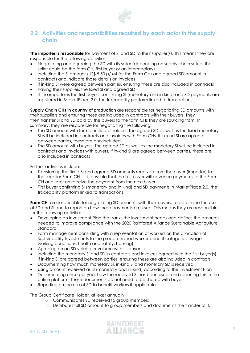

### <span id="page-8-0"></span>**2.2 Activities and responsibilities required by each actor in the supply chain**

**The importer is responsible** for payment of SI and SD to their supplier(s). This means they are responsible for the following activities:

- Negotiating and agreeing the SD with its seller (depending on supply chain setup, the seller could be the farm CH, first buyer or an intermediary)
- Including the SI amount (US\$ 5.50 p/ Mt for the Farm CH) and agreed SD amount in contracts and indicate those details on invoices
- If in-kind SI were agreed between parties, ensuring these are also included in contracts
- Paying their suppliers the fixed SI and agreed SD
- If the importer is the first buyer, confirming SI (monetary and in kind) and SD payments are registered in MarketPlace 2.0, the traceability platform linked to transactions

**Supply Chain CHs in country of production** are responsible for negotiating SD amounts with their suppliers and ensuring these are included in contracts with their buyers. They then transfer SI and SD paid by the buyers to the farm CHs they are sourcing from. In summary, they are responsible for negotiating the following:

- The SD amount with farm certificate holders. The agreed SD as well as the fixed monetary SI will be included in contracts and invoices with Farm CHs. If in-kind SI are agreed between parties, these are also included
- The SD amount with buyers. The agreed SD as well as the monetary SI will be included in contracts and invoices with buyers. If in-kind SI are agreed between parties, these are also included in contracts

Further activities include:

- Transferring the fixed SI and agreed SD amounts received from the buyer (importer) to the supplier Farm CH. It is possible that the first buyer will advance payments to the Farm CH and later on receive the payment from the next buyer
- First buyer confirming SI (monetary and in kind) and SD payments in MarketPlace 2.0, the traceability platform linked to transactions,

**Farm CH:** are responsible for negotiating SD amounts with their buyers, to determine the use of SD and SI and to report on how these payments are used. This means they are responsible for the following activities:

- Developing an Investment Plan that ranks the investment needs and defines the amounts needed to improve compliance with the 2020 Rainforest Alliance Sustainable Agriculture Standard
- Farm management consulting with a representation of workers on the allocation of Sustainability Investments to the predetermined worker benefit categories (wages, working conditions, health and safety, housing)
- Agreeing on an SD value per volume with its buyer(s)
- Including the monetary SI and SD in contracts and invoices agreed with the first buyer(s). If in-kind SI are agreed between parties, ensuring these are also included in contracts
- Documenting how much monetary SI, in-kind SI and monetary SD is received
- Using amount received as SI (monetary and in-kind) according to the Investment Plan
- Documenting once per year how the received SI has been used, and reporting this in the online platform. These documents do not need to be shared with buyers
- Reporting on the use of SD to benefit workers if applicable

The Group Certificate Holder, at least annually:

- o Communicates SD received to group members
- o Distributes full SD amount to group members and documents the transfer of it.

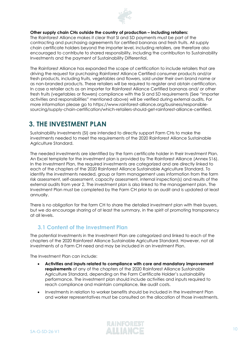

#### **Other supply chain CHs outside the country of production – including retailers:**

The Rainforest Alliance makes it clear that SI and SD payments must be part of the contracting and purchasing agreements for certified bananas and fresh fruits. All supply chain certificate holders beyond the importer level, including retailers, are therefore also encouraged to contribute to shared responsibility, including the contribution to Sustainability Investments and the payment of Sustainability Differential.

The Rainforest Alliance has expanded the scope of certification to include retailers that are driving the request for purchasing Rainforest Alliance Certified consumer products and/or fresh products, including fruits, vegetables and flowers, sold under their own brand name or as non-branded products. These retailers will be required to register and obtain certification. In case a retailer acts as an importer for Rainforest Alliance Certified bananas and/ or other fresh fruits (vegetables or flowers) compliance with the SI and SD requirements (See "importer activities and responsibilities" mentioned above) will be verified during external audits. For more information please go to https://www.rainforest-alliance.org/business/responsiblesourcing/supply-chain-certification/which-retailers-should-get-rainforest-alliance-certified.

# <span id="page-9-0"></span>**3. THE INVESTMENT PLAN**

Sustainability Investments (SI) are intended to directly support Farm CHs to make the investments needed to meet the requirements of the 2020 Rainforest Alliance Sustainable Agriculture Standard.

The needed investments are identified by the farm certificate holder in their Investment Plan. An Excel template for the investment plan is provided by The Rainforest Alliance (Annex S16). In the Investment Plan, the required investments are categorized and are directly linked to each of the chapters of the 2020 Rainforest Alliance Sustainable Agriculture Standard. To identify the investments needed, group or farm management uses information from the farm risk assessment, self-assessment, capacity assessment, internal inspection(s) and results of the external audits from year 2. The investment plan is also linked to the management plan. The Investment Plan must be completed by the Farm CH prior to an audit and is updated at least annually.

There is no obligation for the farm CH to share the detailed investment plan with their buyers, but we do encourage sharing of at least the summary, in the spirit of promoting transparency at all levels.

### <span id="page-9-1"></span>**3.1 Content of the Investment Plan**

The potential Investments in the Investment Plan are categorized and linked to each of the chapters of the 2020 Rainforest Alliance Sustainable Agriculture Standard. However, not all investments of a Farm CH need and may be included in an Investment Plan.

The Investment Plan can include:

- **Activities and inputs related to compliance with core and mandatory improvement requirements** of any of the chapters of the 2020 Rainforest Alliance Sustainable Agriculture Standard, depending on the Farm Certificate Holder's sustainability performance. The investment plan should include activities and inputs required to reach compliance and maintain compliance, like audit costs.
- Investments in relation to worker benefits should be included in the Investment Plan and worker representatives must be consulted on the allocation of those investments.

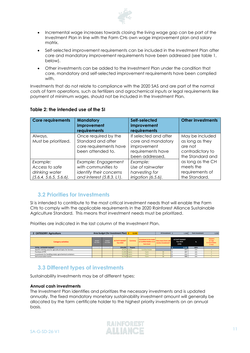

- Incremental wage increases towards closing the living wage gap can be part of the Investment Plan in line with the Farm CHs own wage improvement plan and salary matrix.
- Self-selected improvement requirements can be included in the Investment Plan after core and mandatory improvement requirements have been addressed (see table 1, below).
- Other investments can be added to the Investment Plan under the condition that core, mandatory and self-selected improvement requirements have been complied with.

Investments that do not relate to compliance with the 2020 SAS and are part of the normal costs of farm operations, such as fertilizers and agrochemical inputs or legal requirements like payment of minimum wages, should not be included in the Investment Plan.

| <b>Core requirements</b>                                               | <b>Mandatory</b><br>improvement<br>requirements                                                    | Self-selected<br>improvement<br>requirements                                                       | <b>Other investments</b>                                                              |
|------------------------------------------------------------------------|----------------------------------------------------------------------------------------------------|----------------------------------------------------------------------------------------------------|---------------------------------------------------------------------------------------|
| Always.<br>Must be prioritized.                                        | Once required by the<br>Standard and after<br>core requirements have<br>been attended to.          | If selected and after<br>core and mandatory<br>improvement<br>requirements have<br>been addressed. | May be included<br>as long as they<br>are not<br>contradictory to<br>the Standard and |
| Example:<br>Access to safe<br>drinking water<br>(5.6.4, 5.6.5, 5.6.6). | Example: Engagement<br>with communities to<br>identify their concerns<br>and interest (5.8.3. L1). | Example:<br>Use of rainwater<br>harvesting for<br>irrigation (6.5.6).                              | as long as the CH<br>meets the<br>requirements of<br>the Standard.                    |

#### **Table 2: the intended use of the SI**

## <span id="page-10-0"></span>**3.2 Priorities for Investments**

SI is intended to contribute to the most critical investment needs that will enable the Farm CHs to comply with the applicable requirements in the 2020 Rainforest Alliance Sustainable Agriculture Standard. This means that investment needs must be prioritized.

Priorities are indicated in the last column of the Investment Plan.

| 2 CATEGORY: Agriculture                                     |                                   |                                   | Area budget (for Investment Plan)          | 2.115           |                                                                  | CH investment S                            | 1,088                                               | <b>Farm investment</b> | 1,028                                                              |
|-------------------------------------------------------------|-----------------------------------|-----------------------------------|--------------------------------------------|-----------------|------------------------------------------------------------------|--------------------------------------------|-----------------------------------------------------|------------------------|--------------------------------------------------------------------|
| <b>Category activities</b>                                  | <b>BUDGET</b><br><b>Year 2017</b> | <b>BUDGET</b><br><b>Year 2018</b> | <b>ACTIVITY BUDGET</b><br><b>Year 2019</b> | <b>Currency</b> | Investment to be made<br>at Certified Holder or at<br>farm level | How many farms will<br>receive investment? | <b>ACTIVITY BUDGET</b><br><b>Year 2019</b><br>(USS) | %                      | <b>PRIORITY</b><br>(A: high<br><b>B:</b> intermediate<br>$C:$ low) |
| <b>TOTAL CATEGORY BUDGET</b>                                |                                   |                                   | 154,630                                    | <b>Rupees</b>   |                                                                  |                                            | 2.115                                               | 100%                   |                                                                    |
| Specific training costs for agricultural topics for farmers |                                   |                                   | 48,500 Rupees                              |                 | <b>Certified Holder</b>                                          |                                            | 663                                                 | 31%                    |                                                                    |
| Purchase of PPE                                             |                                   |                                   | 21,000 Rupees                              |                 | Farm                                                             | 54                                         | 287                                                 | 14%                    |                                                                    |
| Investments for handling empty agrochemical containers      |                                   |                                   | 18,430 Rupees                              |                 | Farm                                                             | 33                                         | 252                                                 | 12%                    |                                                                    |
| Soil conservation works                                     |                                   |                                   | 35,700 Rupees                              |                 | Farm                                                             | 56                                         | 488                                                 | 23%                    |                                                                    |

## <span id="page-10-1"></span>**3.3 Different types of investments**

Sustainability Investments may be of different types:

#### **Annual cash investments**

The Investment Plan identifies and prioritizes the necessary investments and is updated annually. The fixed mandatory monetary sustainability investment amount will generally be allocated by the farm certificate holder to the highest priority investments on an annual basis.

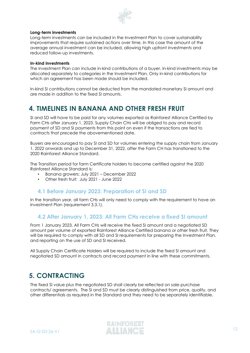

#### **Long-term investments**

Long-term investments can be included in the Investment Plan to cover sustainability improvements that require sustained actions over time. In this case the amount of the average annual investment can be included, allowing high upfront investments and reduced follow-up investments.

#### **In-kind investments**

The Investment Plan can include in-kind contributions of a buyer. In-kind investments may be allocated separately to categories in the Investment Plan. Only in-kind contributions for which an agreement has been made should be included.

In-kind SI contributions cannot be deducted from the mandated monetary SI amount and are made in addition to the fixed SI amounts.

# <span id="page-11-0"></span>**4. TIMELINES IN BANANA AND OTHER FRESH FRUIT**

SI and SD will have to be paid for any volumes exported as Rainforest Alliance Certified by Farm CHs after January 1, 2023. Supply Chain CHs will be obliged to pay and record payment of SD and SI payments from this point on even if the transactions are tied to contracts that precede the abovementioned date.

Buyers are encouraged to pay SI and SD for volumes entering the supply chain from January 1, 2022 onwards and up to December 31, 2022, after the Farm CH has transitioned to the 2020 Rainforest Alliance Standard.

The Transition period for farm Certificate holders to become certified against the 2020 Rainforest Alliance Standard is:

- Banana growers: July 2021 December 2022
- Other fresh fruit: July 2021 June 2022

### <span id="page-11-1"></span>**4.1 Before January 2023: Preparation of SI and SD**

In the transition year, all farm CHs will only need to comply with the requirement to have an Investment Plan (requirement 3.3.1).

### <span id="page-11-2"></span>**4.2 After January 1, 2023: All Farm CHs receive a fixed SI amount**

From 1 January 2023, All Farm CHs will receive the fixed SI amount and a negotiated SD amount per volume of exported Rainforest Alliance Certified banana or other fresh fruit. They will be required to comply with all SD and SI requirements for preparing the Investment Plan, and reporting on the use of SD and SI received.

All Supply Chain Certificate Holders will be required to include the fixed SI amount and negotiated SD amount in contracts and record payment in line with these commitments.

# <span id="page-11-3"></span>**5. CONTRACTING**

The fixed SI value plus the negotiated SD shall clearly be reflected on sale-purchase contracts/ agreements. The SI and SD must be clearly distinguished from price, quality, and other differentials as required in the Standard and they need to be separately identifiable.

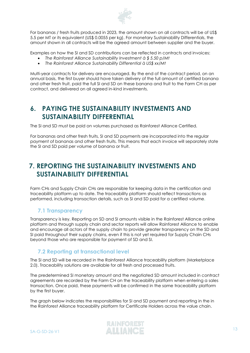

For bananas / fresh fruits produced in 2023, the amount shown on all contracts will be of US\$ 5.5 per MT or its equivalent (US\$ 0.0055 per kg). For monetary Sustainability Differentials, the amount shown in all contracts will be the agreed amount between supplier and the buyer.

Examples on how the SI and SD contributions can be reflected in contracts and invoices:

- *The Rainforest Alliance Sustainability Investment à \$ 5.50 p/Mt*
- *The Rainforest Alliance Sustainability Differential à US\$ xx/Mt*

Multi-year contracts for delivery are encouraged. By the end of the contract period, on an annual basis, the first buyer should have taken delivery of the full amount of certified banana and other fresh fruit, paid the full SI and SD on these banana and fruit to the Farm CH as per contract, and delivered on all agreed in-kind investments.

# <span id="page-12-0"></span>**6. PAYING THE SUSTAINABILITY INVESTMENTS AND SUSTAINABILITY DIFFERENTIAL**

The SI and SD must be paid on volumes purchased as Rainforest Alliance Certified.

For bananas and other fresh fruits, SI and SD payments are incorporated into the regular payment of bananas and other fresh fruits. This means that each invoice will separately state the SI and SD paid per volume of banana or fruit.

# <span id="page-12-1"></span>**7. REPORTING THE SUSTAINABILITY INVESTMENTS AND SUSTAINABILITY DIFFERENTIAL**

Farm CHs and Supply Chain CHs are responsible for keeping data in the certification and traceability platform up to date. The traceability platform should reflect transactions as performed, including transaction details, such as SI and SD paid for a certified volume.

## <span id="page-12-2"></span>**7.1 Transparency**

Transparency is key. Reporting on SD and SI amounts visible in the Rainforest Alliance online platform and through supply chain and sector reports will allow Rainforest Alliance to enable and encourage all actors of the supply chain to provide greater transparency on the SD and SI paid throughout their supply chains, even if this is not yet required for Supply Chain CHs beyond those who are responsible for payment of SD and SI.

## <span id="page-12-3"></span>**7.2 Reporting at transactional level**

The SI and SD will be recorded in the Rainforest Alliance traceability platform (Marketplace 2.0). Traceability solutions are available for all fresh and processed fruits.

The predetermined SI monetary amount and the negotiated SD amount included in contract agreements are recorded by the Farm CH on the traceability platform when entering a sales transaction. Once paid, these payments will be confirmed in the same traceability platform by the first buyer.

The graph below indicates the responsibilities for SI and SD payment and reporting in the in the Rainforest Alliance traceability platform for Certificate Holders across the value chain.

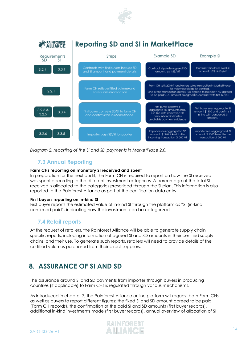



*Diagram 2: reporting of the SI and SD payments in MarketPlace 2.0.*

### <span id="page-13-0"></span>**7.3 Annual Reporting**

#### **Farm CHs reporting on monetary SI received and spent**

In preparation for the next audit, the Farm CH is required to report on how the SI received was spent according to the different investment categories. A percentage of the total SI received is allocated to the categories prescribed through the SI plan. This information is also reported to the Rainforest Alliance as part of the certification data entry.

#### **First buyers reporting on in-kind SI**

First buyer reports the estimated value of in-kind SI through the platform as "SI (in-kind) confirmed paid", indicating how the investment can be categorized.

### <span id="page-13-1"></span>**7.4 Retail reports**

At the request of retailers, the Rainforest Alliance will be able to generate supply chain specific reports, including information of agreed SI and SD amounts in their certified supply chains, and their use. To generate such reports, retailers will need to provide details of the certified volumes purchased from their direct suppliers.

# <span id="page-13-2"></span>**8. ASSURANCE OF SI AND SD**

The assurance around SI and SD payments from importer through buyers in producing countries (if applicable) to Farm CHs is regulated through various mechanisms.

As introduced in chapter 7, the Rainforest Alliance online platform will request both Farm CHs as well as buyers to report different figures: the fixed SI and SD amount agreed to be paid (Farm CH records), the confirmation of the paid SI and SD amounts (first buyer records), additional in-kind investments made (first buyer records), annual overview of allocation of SI

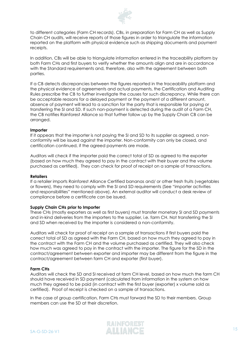

to different categories (Farm CH records). CBs, in preparation for Farm CH as well as Supply Chain CH audits, will receive reports of those figures in order to triangulate the information reported on the platform with physical evidence such as shipping documents and payment receipts.

In addition, CBs will be able to triangulate information entered in the traceability platform by both Farm CHs and first buyers to verify whether the amounts align and are in accordance with the Standard requirements and, therefore, also with the agreement between both parties.

If a CB detects discrepancies between the figures reported in the traceability platform and the physical evidence of agreements and actual payments, the Certification and Auditing Rules prescribe the CB to further investigate the causes for such discrepancy. While there can be acceptable reasons for a delayed payment or the payment of a different amount, absence of payment will lead to a sanction for the party that is responsible for paying or transferring the SI and SD. If such non-payment is detected during the audit of a Farm CH, the CB notifies Rainforest Alliance so that further follow up by the Supply Chain CB can be arranged.

#### **Importer**

If it appears that the importer is not paying the SI and SD to its supplier as agreed, a nonconformity will be issued against the importer. Non-conformity can only be closed, and certification continued, if the agreed payments are made.

Auditors will check if the importer paid the correct total of SD as agreed to the exporter (based on how much they agreed to pay in the contract with their buyer and the volume purchased as certified). They can check for proof of receipt on a sample of transactions.

#### **Retailers**

If a retailer imports Rainforest Alliance Certified bananas and/ or other fresh fruits (vegetables or flowers), they need to comply with the SI and SD requirements (See "importer activities and responsibilities" mentioned above). An external auditor will conduct a desk review of compliance before a certificate can be issued.

#### **Supply Chain CHs prior to Importer**

These CHs (mostly exporters as well as first buyers) must transfer monetary SI and SD payments and in-kind deliveries from the importers to the supplier, i.e. farm CH. Not transferring the SI and SD when received by the importer is considered a non-conformity.

Auditors will check for proof of receipt on a sample of transactions if first buyers paid the correct total of SD as agreed with the Farm CH, based on how much they agreed to pay in the contract with the Farm CH and the volume purchased as certified. They will also check how much was agreed to pay in the contract with the importer. The figure for the SD in the contract/agreement between exporter and importer may be different from the figure in the contract/agreement between farm CH and exporter (first buyer).

#### **Farm CHs**

Auditors will check the SD and SI received at farm CH level, based on how much the farm CH should have received in SD payment (calculated from information in the system on how much they agreed to be paid (in contract with the first buyer (exporter) x volume sold as certified). Proof of receipt is checked on a sample of transactions.

In the case of group certification, Farm CHs must forward the SD to their members. Group members can use the SD at their discretion.